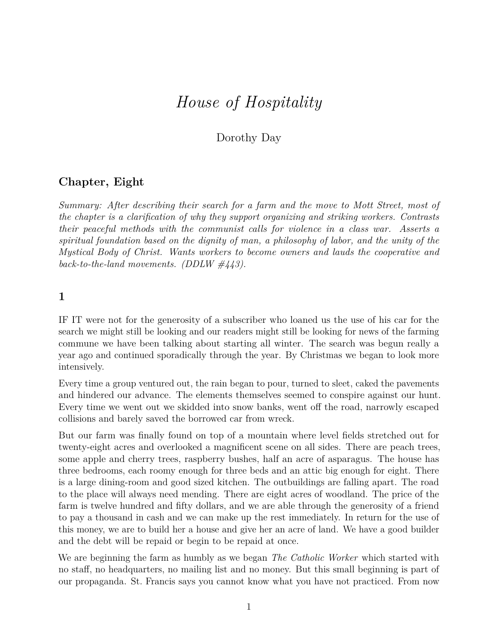# *House of Hospitality*

## Dorothy Day

### **Chapter, Eight**

*Summary: After describing their search for a farm and the move to Mott Street, most of the chapter is a clarification of why they support organizing and striking workers. Contrasts their peaceful methods with the communist calls for violence in a class war. Asserts a spiritual foundation based on the dignity of man, a philosophy of labor, and the unity of the Mystical Body of Christ. Wants workers to become owners and lauds the cooperative and back-to-the-land movements. (DDLW #443).*

#### **1**

IF IT were not for the generosity of a subscriber who loaned us the use of his car for the search we might still be looking and our readers might still be looking for news of the farming commune we have been talking about starting all winter. The search was begun really a year ago and continued sporadically through the year. By Christmas we began to look more intensively.

Every time a group ventured out, the rain began to pour, turned to sleet, caked the pavements and hindered our advance. The elements themselves seemed to conspire against our hunt. Every time we went out we skidded into snow banks, went off the road, narrowly escaped collisions and barely saved the borrowed car from wreck.

But our farm was finally found on top of a mountain where level fields stretched out for twenty-eight acres and overlooked a magnificent scene on all sides. There are peach trees, some apple and cherry trees, raspberry bushes, half an acre of asparagus. The house has three bedrooms, each roomy enough for three beds and an attic big enough for eight. There is a large dining-room and good sized kitchen. The outbuildings are falling apart. The road to the place will always need mending. There are eight acres of woodland. The price of the farm is twelve hundred and fifty dollars, and we are able through the generosity of a friend to pay a thousand in cash and we can make up the rest immediately. In return for the use of this money, we are to build her a house and give her an acre of land. We have a good builder and the debt will be repaid or begin to be repaid at once.

We are beginning the farm as humbly as we began *The Catholic Worker* which started with no staff, no headquarters, no mailing list and no money. But this small beginning is part of our propaganda. St. Francis says you cannot know what you have not practiced. From now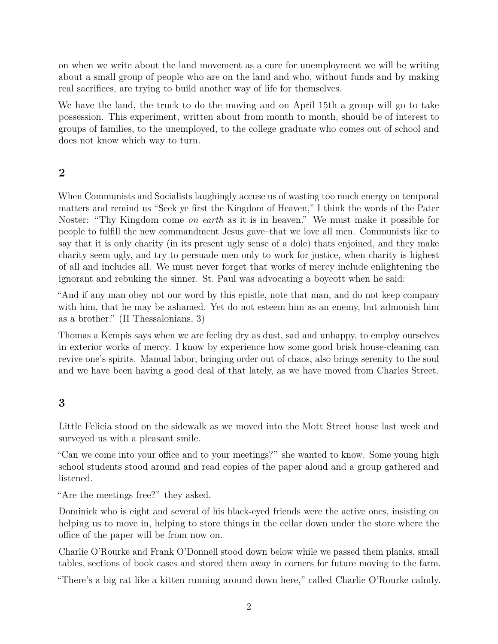on when we write about the land movement as a cure for unemployment we will be writing about a small group of people who are on the land and who, without funds and by making real sacrifices, are trying to build another way of life for themselves.

We have the land, the truck to do the moving and on April 15th a group will go to take possession. This experiment, written about from month to month, should be of interest to groups of families, to the unemployed, to the college graduate who comes out of school and does not know which way to turn.

## **2**

When Communists and Socialists laughingly accuse us of wasting too much energy on temporal matters and remind us "Seek ye first the Kingdom of Heaven," I think the words of the Pater Noster: "Thy Kingdom come *on earth* as it is in heaven." We must make it possible for people to fulfill the new commandment Jesus gave–that we love all men. Communists like to say that it is only charity (in its present ugly sense of a dole) thats enjoined, and they make charity seem ugly, and try to persuade men only to work for justice, when charity is highest of all and includes all. We must never forget that works of mercy include enlightening the ignorant and rebuking the sinner. St. Paul was advocating a boycott when he said:

"And if any man obey not our word by this epistle, note that man, and do not keep company with him, that he may be ashamed. Yet do not esteem him as an enemy, but admonish him as a brother." (II Thessalonians, 3)

Thomas a Kempis says when we are feeling dry as dust, sad and unhappy, to employ ourselves in exterior works of mercy. I know by experience how some good brisk house-cleaning can revive one's spirits. Manual labor, bringing order out of chaos, also brings serenity to the soul and we have been having a good deal of that lately, as we have moved from Charles Street.

# **3**

Little Felicia stood on the sidewalk as we moved into the Mott Street house last week and surveyed us with a pleasant smile.

"Can we come into your office and to your meetings?" she wanted to know. Some young high school students stood around and read copies of the paper aloud and a group gathered and listened.

"Are the meetings free?" they asked.

Dominick who is eight and several of his black-eyed friends were the active ones, insisting on helping us to move in, helping to store things in the cellar down under the store where the office of the paper will be from now on.

Charlie O'Rourke and Frank O'Donnell stood down below while we passed them planks, small tables, sections of book cases and stored them away in corners for future moving to the farm.

"There's a big rat like a kitten running around down here," called Charlie O'Rourke calmly.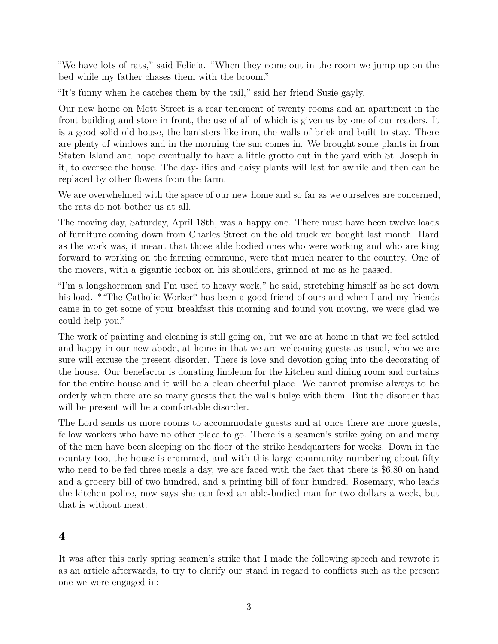"We have lots of rats," said Felicia. "When they come out in the room we jump up on the bed while my father chases them with the broom."

"It's funny when he catches them by the tail," said her friend Susie gayly.

Our new home on Mott Street is a rear tenement of twenty rooms and an apartment in the front building and store in front, the use of all of which is given us by one of our readers. It is a good solid old house, the banisters like iron, the walls of brick and built to stay. There are plenty of windows and in the morning the sun comes in. We brought some plants in from Staten Island and hope eventually to have a little grotto out in the yard with St. Joseph in it, to oversee the house. The day-lilies and daisy plants will last for awhile and then can be replaced by other flowers from the farm.

We are overwhelmed with the space of our new home and so far as we ourselves are concerned, the rats do not bother us at all.

The moving day, Saturday, April 18th, was a happy one. There must have been twelve loads of furniture coming down from Charles Street on the old truck we bought last month. Hard as the work was, it meant that those able bodied ones who were working and who are king forward to working on the farming commune, were that much nearer to the country. One of the movers, with a gigantic icebox on his shoulders, grinned at me as he passed.

"I'm a longshoreman and I'm used to heavy work," he said, stretching himself as he set down his load. \*"The Catholic Worker\* has been a good friend of ours and when I and my friends came in to get some of your breakfast this morning and found you moving, we were glad we could help you."

The work of painting and cleaning is still going on, but we are at home in that we feel settled and happy in our new abode, at home in that we are welcoming guests as usual, who we are sure will excuse the present disorder. There is love and devotion going into the decorating of the house. Our benefactor is donating linoleum for the kitchen and dining room and curtains for the entire house and it will be a clean cheerful place. We cannot promise always to be orderly when there are so many guests that the walls bulge with them. But the disorder that will be present will be a comfortable disorder.

The Lord sends us more rooms to accommodate guests and at once there are more guests, fellow workers who have no other place to go. There is a seamen's strike going on and many of the men have been sleeping on the floor of the strike headquarters for weeks. Down in the country too, the house is crammed, and with this large community numbering about fifty who need to be fed three meals a day, we are faced with the fact that there is \$6.80 on hand and a grocery bill of two hundred, and a printing bill of four hundred. Rosemary, who leads the kitchen police, now says she can feed an able-bodied man for two dollars a week, but that is without meat.

## **4**

It was after this early spring seamen's strike that I made the following speech and rewrote it as an article afterwards, to try to clarify our stand in regard to conflicts such as the present one we were engaged in: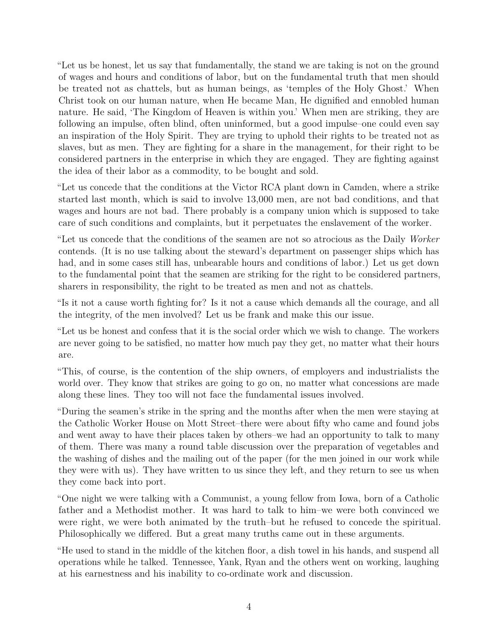"Let us be honest, let us say that fundamentally, the stand we are taking is not on the ground of wages and hours and conditions of labor, but on the fundamental truth that men should be treated not as chattels, but as human beings, as 'temples of the Holy Ghost.' When Christ took on our human nature, when He became Man, He dignified and ennobled human nature. He said, 'The Kingdom of Heaven is within you.' When men are striking, they are following an impulse, often blind, often uninformed, but a good impulse–one could even say an inspiration of the Holy Spirit. They are trying to uphold their rights to be treated not as slaves, but as men. They are fighting for a share in the management, for their right to be considered partners in the enterprise in which they are engaged. They are fighting against the idea of their labor as a commodity, to be bought and sold.

"Let us concede that the conditions at the Victor RCA plant down in Camden, where a strike started last month, which is said to involve 13,000 men, are not bad conditions, and that wages and hours are not bad. There probably is a company union which is supposed to take care of such conditions and complaints, but it perpetuates the enslavement of the worker.

"Let us concede that the conditions of the seamen are not so atrocious as the Daily *Worker* contends. (It is no use talking about the steward's department on passenger ships which has had, and in some cases still has, unbearable hours and conditions of labor.) Let us get down to the fundamental point that the seamen are striking for the right to be considered partners, sharers in responsibility, the right to be treated as men and not as chattels.

"Is it not a cause worth fighting for? Is it not a cause which demands all the courage, and all the integrity, of the men involved? Let us be frank and make this our issue.

"Let us be honest and confess that it is the social order which we wish to change. The workers are never going to be satisfied, no matter how much pay they get, no matter what their hours are.

"This, of course, is the contention of the ship owners, of employers and industrialists the world over. They know that strikes are going to go on, no matter what concessions are made along these lines. They too will not face the fundamental issues involved.

"During the seamen's strike in the spring and the months after when the men were staying at the Catholic Worker House on Mott Street–there were about fifty who came and found jobs and went away to have their places taken by others–we had an opportunity to talk to many of them. There was many a round table discussion over the preparation of vegetables and the washing of dishes and the mailing out of the paper (for the men joined in our work while they were with us). They have written to us since they left, and they return to see us when they come back into port.

"One night we were talking with a Communist, a young fellow from Iowa, born of a Catholic father and a Methodist mother. It was hard to talk to him–we were both convinced we were right, we were both animated by the truth–but he refused to concede the spiritual. Philosophically we differed. But a great many truths came out in these arguments.

"He used to stand in the middle of the kitchen floor, a dish towel in his hands, and suspend all operations while he talked. Tennessee, Yank, Ryan and the others went on working, laughing at his earnestness and his inability to co-ordinate work and discussion.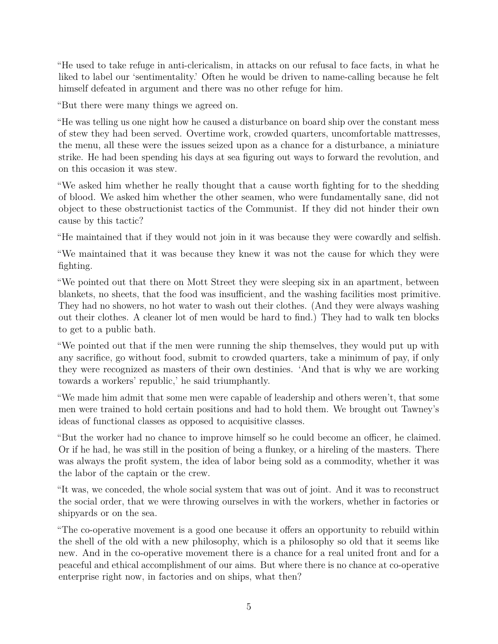"He used to take refuge in anti-clericalism, in attacks on our refusal to face facts, in what he liked to label our 'sentimentality.' Often he would be driven to name-calling because he felt himself defeated in argument and there was no other refuge for him.

"But there were many things we agreed on.

"He was telling us one night how he caused a disturbance on board ship over the constant mess of stew they had been served. Overtime work, crowded quarters, uncomfortable mattresses, the menu, all these were the issues seized upon as a chance for a disturbance, a miniature strike. He had been spending his days at sea figuring out ways to forward the revolution, and on this occasion it was stew.

"We asked him whether he really thought that a cause worth fighting for to the shedding of blood. We asked him whether the other seamen, who were fundamentally sane, did not object to these obstructionist tactics of the Communist. If they did not hinder their own cause by this tactic?

"He maintained that if they would not join in it was because they were cowardly and selfish.

"We maintained that it was because they knew it was not the cause for which they were fighting.

"We pointed out that there on Mott Street they were sleeping six in an apartment, between blankets, no sheets, that the food was insufficient, and the washing facilities most primitive. They had no showers, no hot water to wash out their clothes. (And they were always washing out their clothes. A cleaner lot of men would be hard to find.) They had to walk ten blocks to get to a public bath.

"We pointed out that if the men were running the ship themselves, they would put up with any sacrifice, go without food, submit to crowded quarters, take a minimum of pay, if only they were recognized as masters of their own destinies. 'And that is why we are working towards a workers' republic,' he said triumphantly.

"We made him admit that some men were capable of leadership and others weren't, that some men were trained to hold certain positions and had to hold them. We brought out Tawney's ideas of functional classes as opposed to acquisitive classes.

"But the worker had no chance to improve himself so he could become an officer, he claimed. Or if he had, he was still in the position of being a flunkey, or a hireling of the masters. There was always the profit system, the idea of labor being sold as a commodity, whether it was the labor of the captain or the crew.

"It was, we conceded, the whole social system that was out of joint. And it was to reconstruct the social order, that we were throwing ourselves in with the workers, whether in factories or shipyards or on the sea.

"The co-operative movement is a good one because it offers an opportunity to rebuild within the shell of the old with a new philosophy, which is a philosophy so old that it seems like new. And in the co-operative movement there is a chance for a real united front and for a peaceful and ethical accomplishment of our aims. But where there is no chance at co-operative enterprise right now, in factories and on ships, what then?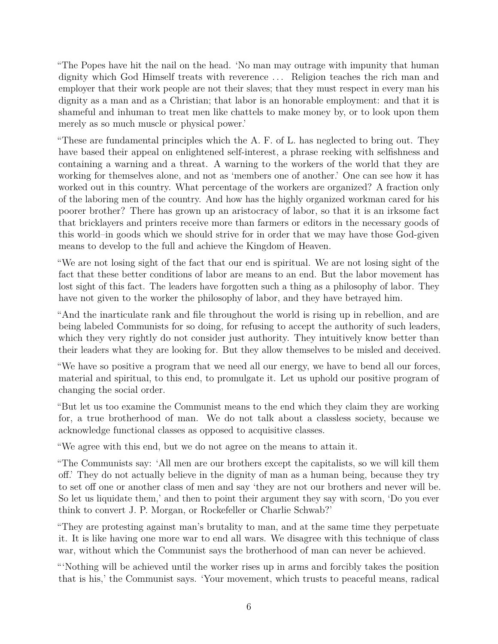"The Popes have hit the nail on the head. 'No man may outrage with impunity that human dignity which God Himself treats with reverence . . . Religion teaches the rich man and employer that their work people are not their slaves; that they must respect in every man his dignity as a man and as a Christian; that labor is an honorable employment: and that it is shameful and inhuman to treat men like chattels to make money by, or to look upon them merely as so much muscle or physical power.'

"These are fundamental principles which the A. F. of L. has neglected to bring out. They have based their appeal on enlightened self-interest, a phrase reeking with selfishness and containing a warning and a threat. A warning to the workers of the world that they are working for themselves alone, and not as 'members one of another.' One can see how it has worked out in this country. What percentage of the workers are organized? A fraction only of the laboring men of the country. And how has the highly organized workman cared for his poorer brother? There has grown up an aristocracy of labor, so that it is an irksome fact that bricklayers and printers receive more than farmers or editors in the necessary goods of this world–in goods which we should strive for in order that we may have those God-given means to develop to the full and achieve the Kingdom of Heaven.

"We are not losing sight of the fact that our end is spiritual. We are not losing sight of the fact that these better conditions of labor are means to an end. But the labor movement has lost sight of this fact. The leaders have forgotten such a thing as a philosophy of labor. They have not given to the worker the philosophy of labor, and they have betrayed him.

"And the inarticulate rank and file throughout the world is rising up in rebellion, and are being labeled Communists for so doing, for refusing to accept the authority of such leaders, which they very rightly do not consider just authority. They intuitively know better than their leaders what they are looking for. But they allow themselves to be misled and deceived.

"We have so positive a program that we need all our energy, we have to bend all our forces, material and spiritual, to this end, to promulgate it. Let us uphold our positive program of changing the social order.

"But let us too examine the Communist means to the end which they claim they are working for, a true brotherhood of man. We do not talk about a classless society, because we acknowledge functional classes as opposed to acquisitive classes.

"We agree with this end, but we do not agree on the means to attain it.

"The Communists say: 'All men are our brothers except the capitalists, so we will kill them off.' They do not actually believe in the dignity of man as a human being, because they try to set off one or another class of men and say 'they are not our brothers and never will be. So let us liquidate them,' and then to point their argument they say with scorn, 'Do you ever think to convert J. P. Morgan, or Rockefeller or Charlie Schwab?'

"They are protesting against man's brutality to man, and at the same time they perpetuate it. It is like having one more war to end all wars. We disagree with this technique of class war, without which the Communist says the brotherhood of man can never be achieved.

"'Nothing will be achieved until the worker rises up in arms and forcibly takes the position that is his,' the Communist says. 'Your movement, which trusts to peaceful means, radical